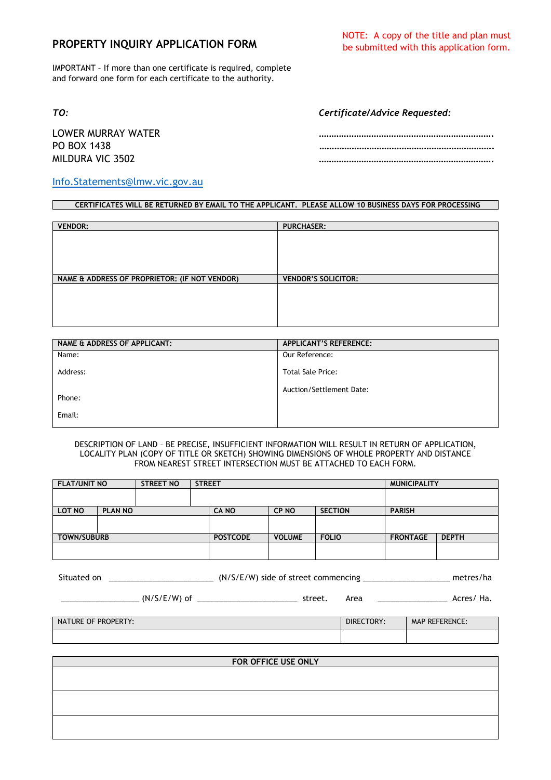## **PROPERTY INQUIRY APPLICATION FORM**

IMPORTANT – If more than one certificate is required, complete and forward one form for each certificate to the authority.

*TO: Certificate/Advice Requested:*

LOWER MURRAY WATER ……………………………………………………………. PO BOX 1438 ……………………………………………………………. MILDURA VIC 3502 …………………………………………………………….

## [Info.Statements@lmw.vic.gov.au](mailto:Info.Statements@lmw.vic.gov.au)

## **CERTIFICATES WILL BE RETURNED BY EMAIL TO THE APPLICANT. PLEASE ALLOW 10 BUSINESS DAYS FOR PROCESSING**

| <b>VENDOR:</b>                                | <b>PURCHASER:</b>          |
|-----------------------------------------------|----------------------------|
|                                               |                            |
|                                               |                            |
|                                               |                            |
|                                               |                            |
| NAME & ADDRESS OF PROPRIETOR: (IF NOT VENDOR) | <b>VENDOR'S SOLICITOR:</b> |
|                                               |                            |
|                                               |                            |
|                                               |                            |
|                                               |                            |

| NAME & ADDRESS OF APPLICANT: | <b>APPLICANT'S REFERENCE:</b> |
|------------------------------|-------------------------------|
| Name:                        | Our Reference:                |
| Address:                     | <b>Total Sale Price:</b>      |
| Phone:                       | Auction/Settlement Date:      |
|                              |                               |
| Email:                       |                               |
|                              |                               |

DESCRIPTION OF LAND – BE PRECISE, INSUFFICIENT INFORMATION WILL RESULT IN RETURN OF APPLICATION, LOCALITY PLAN (COPY OF TITLE OR SKETCH) SHOWING DIMENSIONS OF WHOLE PROPERTY AND DISTANCE FROM NEAREST STREET INTERSECTION MUST BE ATTACHED TO EACH FORM.

| <b>FLAT/UNIT NO</b>        |                    | <b>STREET NO</b> |  | <b>MUNICIPALITY</b><br><b>STREET</b> |               |                |  |               |                                 |  |
|----------------------------|--------------------|------------------|--|--------------------------------------|---------------|----------------|--|---------------|---------------------------------|--|
|                            |                    |                  |  |                                      |               |                |  |               |                                 |  |
| LOT NO                     | <b>PLAN NO</b>     |                  |  | <b>CANO</b>                          | <b>CP NO</b>  | <b>SECTION</b> |  | <b>PARISH</b> |                                 |  |
|                            |                    |                  |  |                                      |               |                |  |               |                                 |  |
|                            | <b>TOWN/SUBURB</b> |                  |  | <b>POSTCODE</b>                      | <b>VOLUME</b> | <b>FOLIO</b>   |  |               | <b>FRONTAGE</b><br><b>DEPTH</b> |  |
|                            |                    |                  |  |                                      |               |                |  |               |                                 |  |
|                            |                    |                  |  |                                      |               |                |  |               |                                 |  |
| NATURE OF PROPERTY:        |                    |                  |  |                                      |               | DIRECTORY:     |  |               | <b>MAP REFERENCE:</b>           |  |
|                            |                    |                  |  |                                      |               |                |  |               |                                 |  |
|                            |                    |                  |  |                                      |               |                |  |               |                                 |  |
| <b>FOR OFFICE USE ONLY</b> |                    |                  |  |                                      |               |                |  |               |                                 |  |
|                            |                    |                  |  |                                      |               |                |  |               |                                 |  |
|                            |                    |                  |  |                                      |               |                |  |               |                                 |  |